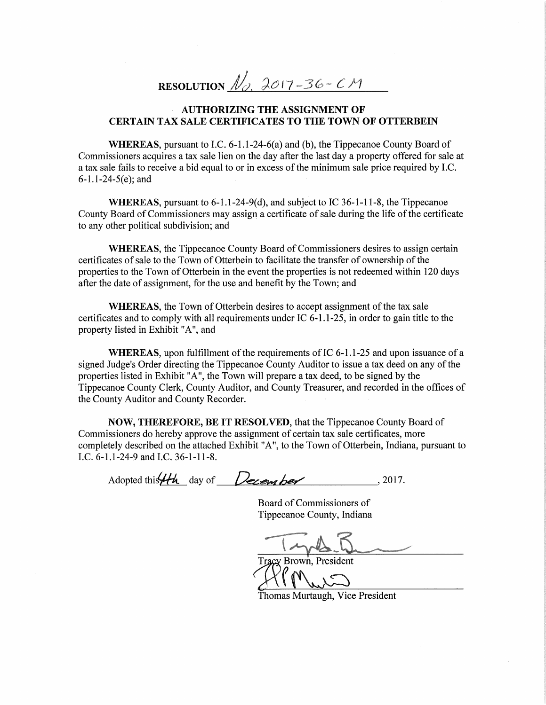RESOLUTION  $\mathcal{N}_{\alpha}$ , 2017-36-CM

## , AUTHORIZING THE ASSIGNMENT OF CERTAIN TAX SALE CERTIFICATES TO THE TOWN OF OTTERBEIN

WHEREAS, pursuant to LC. 6-1.1-24-6(a) and (b), the Tippecanoe County Board of Commissioners acquires <sup>a</sup> tax sale lien on the day after the last day <sup>a</sup> property offered for sale at a tax sale fails to receive a bid equal to or in excess of the minimum sale price required by I.C.  $6 - 1.1 - 24 - 5(e)$ ; and

WHEREAS, pursuant to 6-1.1-24-9(d), and subject to IC 36-1—1 1-8, the Tippecanoe County Board of Commissioners may assign a certificate of sale during the life of the certificate to any other political subdivision; and

WHEREAS, the Tippecanoe County Board of Commissioners desires to assign certain certificates of sale to the Town of Otterbein to facilitate the transfer of ownership of the properties to the Town of Otterbein in the event the properties is not redeemed within 120 days after the date of assignment, for the use and benefit by the Town; and

WHEREAS, the Town of Otterbein desires to accept assignment of the tax sale certificates and to comply with all requirements under IC  $6-1.1-25$ , in order to gain title to the property listed in Exhibit "A", and

WHEREAS, upon fulfillment of the requirements of IC  $6-1.1-25$  and upon issuance of a signed Judge's Order directing the Tippecanoe County Auditor to issue a tax deed on any of the properties listed in Exhibit "A", the Town will prepare <sup>a</sup> tax deed, to be signed by the Tippecanoe County Clerk, County Auditor, and County Treasurer, and recorded in the offices of the County Auditor and County Recorder.

NOW, THEREFORE, BE IT RESOLVED, that the Tippecanoe County Board of Commissioners do hereby approve the assignment of certain tax sale certificates, more completely described on the attached Exhibit "A", to the Town of Otterbein, Indiana, pursuant to I.C. 6-1.1-24-9 and LC. 36-1-11-8.

Adopted this  $4th$  day of  $Dexem$  ber , 2017.

Board of Commissioners of Tippecanoe County, Indiana

 $\sim$  1.1

Brown, President T<sup>J</sup> fié

Thomas Murtaugh, Vice President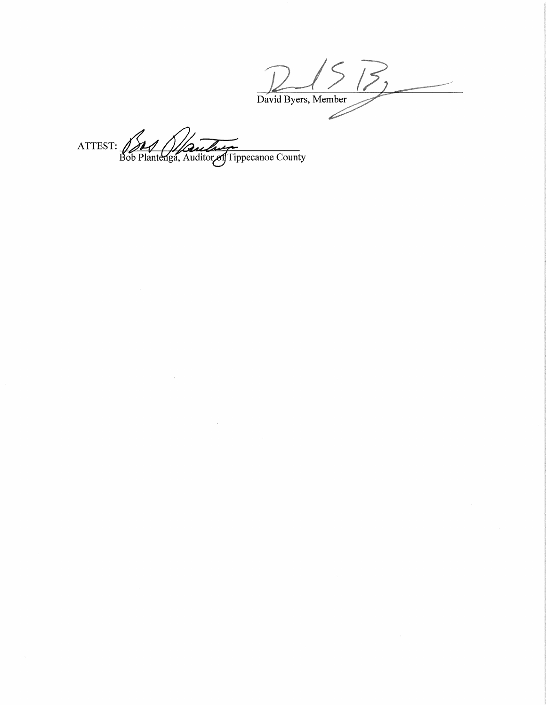$3, 2$ David Byers, Member  $\overline{\mathscr{S}}$ 

ATTEST: 100 Plantenga, Auditor of Tippecanoe County

 $\sim$ 

 $\cdot$